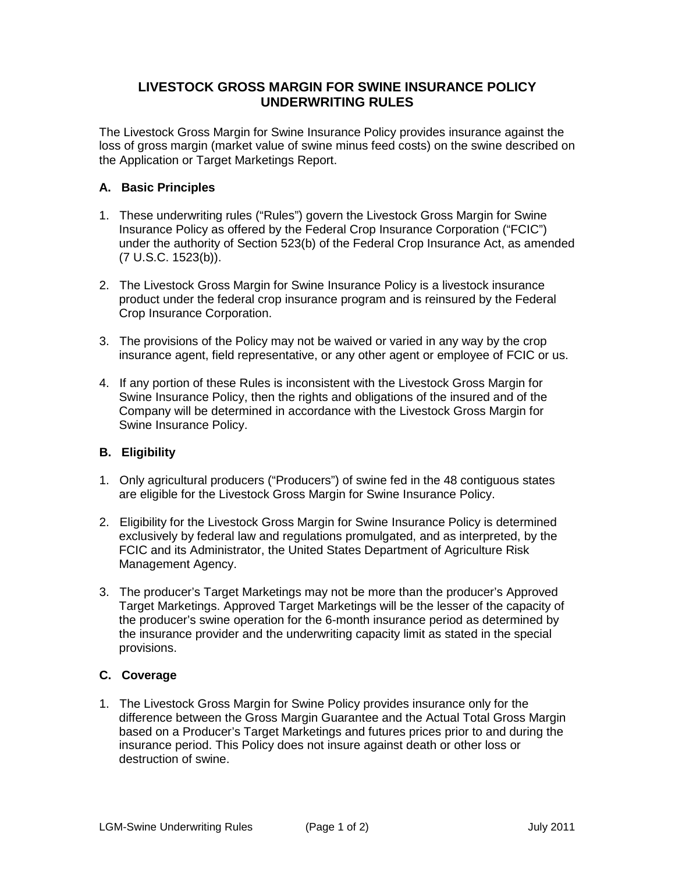## **LIVESTOCK GROSS MARGIN FOR SWINE INSURANCE POLICY UNDERWRITING RULES**

The Livestock Gross Margin for Swine Insurance Policy provides insurance against the loss of gross margin (market value of swine minus feed costs) on the swine described on the Application or Target Marketings Report.

## **A. Basic Principles**

- 1. These underwriting rules ("Rules") govern the Livestock Gross Margin for Swine Insurance Policy as offered by the Federal Crop Insurance Corporation ("FCIC") under the authority of Section 523(b) of the Federal Crop Insurance Act, as amended (7 U.S.C. 1523(b)).
- 2. The Livestock Gross Margin for Swine Insurance Policy is a livestock insurance product under the federal crop insurance program and is reinsured by the Federal Crop Insurance Corporation.
- 3. The provisions of the Policy may not be waived or varied in any way by the crop insurance agent, field representative, or any other agent or employee of FCIC or us.
- 4. If any portion of these Rules is inconsistent with the Livestock Gross Margin for Swine Insurance Policy, then the rights and obligations of the insured and of the Company will be determined in accordance with the Livestock Gross Margin for Swine Insurance Policy.

## **B. Eligibility**

- 1. Only agricultural producers ("Producers") of swine fed in the 48 contiguous states are eligible for the Livestock Gross Margin for Swine Insurance Policy.
- 2. Eligibility for the Livestock Gross Margin for Swine Insurance Policy is determined exclusively by federal law and regulations promulgated, and as interpreted, by the FCIC and its Administrator, the United States Department of Agriculture Risk Management Agency.
- 3. The producer's Target Marketings may not be more than the producer's Approved Target Marketings. Approved Target Marketings will be the lesser of the capacity of the producer's swine operation for the 6-month insurance period as determined by the insurance provider and the underwriting capacity limit as stated in the special provisions.

## **C. Coverage**

1. The Livestock Gross Margin for Swine Policy provides insurance only for the difference between the Gross Margin Guarantee and the Actual Total Gross Margin based on a Producer's Target Marketings and futures prices prior to and during the insurance period. This Policy does not insure against death or other loss or destruction of swine.